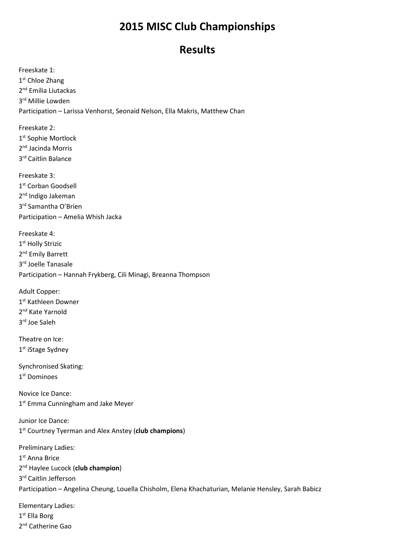## **2015 MISC Club Championships**

## **Results**

Freeskate 1: 1<sup>st</sup> Chloe Zhang 2<sup>nd</sup> Emilia Liutackas 3rd Millie Lowden Participation – Larissa Venhorst, Seonaid Nelson, Ella Makris, Matthew Chan

Freeskate 2: 1st Sophie Mortlock 2nd Jacinda Morris 3rd Caitlin Balance

Freeskate 3: 1<sup>st</sup> Corban Goodsell 2<sup>nd</sup> Indigo Jakeman 3rd Samantha O'Brien Participation – Amelia Whish Jacka

Freeskate 4: 1st Holly Strizic 2<sup>nd</sup> Emily Barrett 3<sup>rd</sup> Joelle Tanasale Participation – Hannah Frykberg, Cili Minagi, Breanna Thompson

Adult Copper: 1<sup>st</sup> Kathleen Downer 2<sup>nd</sup> Kate Yarnold 3rd Joe Saleh

Theatre on Ice: 1<sup>st</sup> iStage Sydney

Synchronised Skating: 1st Dominoes

Novice Ice Dance: 1<sup>st</sup> Emma Cunningham and Jake Meyer

Junior Ice Dance: 1st Courtney Tyerman and Alex Anstey (**club champions**)

Preliminary Ladies: 1<sup>st</sup> Anna Brice 2nd Haylee Lucock (**club champion**) 3rd Caitlin Jefferson Participation – Angelina Cheung, Louella Chisholm, Elena Khachaturian, Melanie Hensley, Sarah Babicz

Elementary Ladies: 1<sup>st</sup> Ella Borg 2<sup>nd</sup> Catherine Gao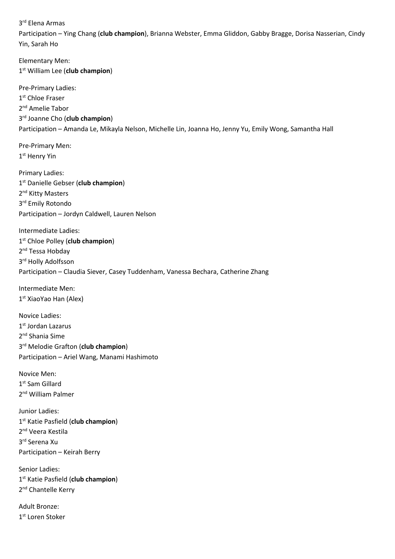3rd Elena Armas

Participation – Ying Chang (**club champion**), Brianna Webster, Emma Gliddon, Gabby Bragge, Dorisa Nasserian, Cindy Yin, Sarah Ho

Elementary Men: 1st William Lee (**club champion**) Pre-Primary Ladies: 1<sup>st</sup> Chloe Fraser 2<sup>nd</sup> Amelie Tabor 3rd Joanne Cho (**club champion**) Participation – Amanda Le, Mikayla Nelson, Michelle Lin, Joanna Ho, Jenny Yu, Emily Wong, Samantha Hall Pre-Primary Men: 1<sup>st</sup> Henry Yin Primary Ladies: 1st Danielle Gebser (**club champion**) 2<sup>nd</sup> Kitty Masters 3<sup>rd</sup> Emily Rotondo Participation – Jordyn Caldwell, Lauren Nelson Intermediate Ladies: 1st Chloe Polley (**club champion**) 2<sup>nd</sup> Tessa Hobday 3rd Holly Adolfsson Participation – Claudia Siever, Casey Tuddenham, Vanessa Bechara, Catherine Zhang Intermediate Men: 1<sup>st</sup> XiaoYao Han (Alex) Novice Ladies: 1<sup>st</sup> Jordan Lazarus 2nd Shania Sime 3rd Melodie Grafton (**club champion**) Participation – Ariel Wang, Manami Hashimoto Novice Men: 1<sup>st</sup> Sam Gillard 2<sup>nd</sup> William Palmer Junior Ladies: 1st Katie Pasfield (**club champion**) 2<sup>nd</sup> Veera Kestila 3rd Serena Xu Participation – Keirah Berry Senior Ladies: 1st Katie Pasfield (**club champion**)

2<sup>nd</sup> Chantelle Kerry

Adult Bronze: 1<sup>st</sup> Loren Stoker